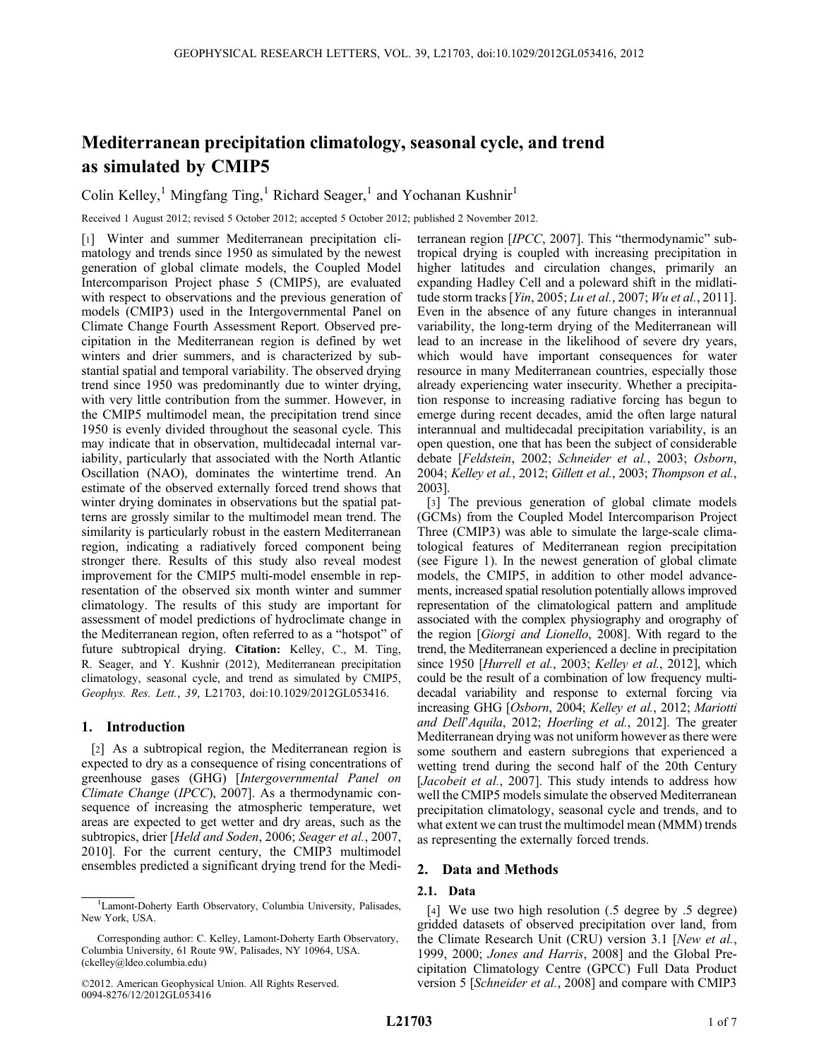# Mediterranean precipitation climatology, seasonal cycle, and trend as simulated by CMIP5

Colin Kelley,<sup>1</sup> Mingfang Ting,<sup>1</sup> Richard Seager,<sup>1</sup> and Yochanan Kushnir<sup>1</sup>

Received 1 August 2012; revised 5 October 2012; accepted 5 October 2012; published 2 November 2012.

[1] Winter and summer Mediterranean precipitation climatology and trends since 1950 as simulated by the newest generation of global climate models, the Coupled Model Intercomparison Project phase 5 (CMIP5), are evaluated with respect to observations and the previous generation of models (CMIP3) used in the Intergovernmental Panel on Climate Change Fourth Assessment Report. Observed precipitation in the Mediterranean region is defined by wet winters and drier summers, and is characterized by substantial spatial and temporal variability. The observed drying trend since 1950 was predominantly due to winter drying, with very little contribution from the summer. However, in the CMIP5 multimodel mean, the precipitation trend since 1950 is evenly divided throughout the seasonal cycle. This may indicate that in observation, multidecadal internal variability, particularly that associated with the North Atlantic Oscillation (NAO), dominates the wintertime trend. An estimate of the observed externally forced trend shows that winter drying dominates in observations but the spatial patterns are grossly similar to the multimodel mean trend. The similarity is particularly robust in the eastern Mediterranean region, indicating a radiatively forced component being stronger there. Results of this study also reveal modest improvement for the CMIP5 multi-model ensemble in representation of the observed six month winter and summer climatology. The results of this study are important for assessment of model predictions of hydroclimate change in the Mediterranean region, often referred to as a "hotspot" of future subtropical drying. Citation: Kelley, C., M. Ting, R. Seager, and Y. Kushnir (2012), Mediterranean precipitation climatology, seasonal cycle, and trend as simulated by CMIP5, Geophys. Res. Lett., 39, L21703, doi:10.1029/2012GL053416.

# 1. Introduction

[2] As a subtropical region, the Mediterranean region is expected to dry as a consequence of rising concentrations of greenhouse gases (GHG) [Intergovernmental Panel on Climate Change (IPCC), 2007]. As a thermodynamic consequence of increasing the atmospheric temperature, wet areas are expected to get wetter and dry areas, such as the subtropics, drier [Held and Soden, 2006; Seager et al., 2007, 2010]. For the current century, the CMIP3 multimodel ensembles predicted a significant drying trend for the Mediterranean region [IPCC, 2007]. This "thermodynamic" subtropical drying is coupled with increasing precipitation in higher latitudes and circulation changes, primarily an expanding Hadley Cell and a poleward shift in the midlatitude storm tracks [Yin, 2005; Lu et al., 2007; Wu et al., 2011]. Even in the absence of any future changes in interannual variability, the long-term drying of the Mediterranean will lead to an increase in the likelihood of severe dry years, which would have important consequences for water resource in many Mediterranean countries, especially those already experiencing water insecurity. Whether a precipitation response to increasing radiative forcing has begun to emerge during recent decades, amid the often large natural interannual and multidecadal precipitation variability, is an open question, one that has been the subject of considerable debate [Feldstein, 2002; Schneider et al., 2003; Osborn, 2004; Kelley et al., 2012; Gillett et al., 2003; Thompson et al., 2003].

[3] The previous generation of global climate models (GCMs) from the Coupled Model Intercomparison Project Three (CMIP3) was able to simulate the large-scale climatological features of Mediterranean region precipitation (see Figure 1). In the newest generation of global climate models, the CMIP5, in addition to other model advancements, increased spatial resolution potentially allows improved representation of the climatological pattern and amplitude associated with the complex physiography and orography of the region [Giorgi and Lionello, 2008]. With regard to the trend, the Mediterranean experienced a decline in precipitation since 1950 [Hurrell et al., 2003; Kelley et al., 2012], which could be the result of a combination of low frequency multidecadal variability and response to external forcing via increasing GHG [Osborn, 2004; Kelley et al., 2012; Mariotti and Dell'Aquila, 2012; Hoerling et al., 2012]. The greater Mediterranean drying was not uniform however as there were some southern and eastern subregions that experienced a wetting trend during the second half of the 20th Century [Jacobeit et al., 2007]. This study intends to address how well the CMIP5 models simulate the observed Mediterranean precipitation climatology, seasonal cycle and trends, and to what extent we can trust the multimodel mean (MMM) trends as representing the externally forced trends.

# 2. Data and Methods

# 2.1. Data

[4] We use two high resolution (.5 degree by .5 degree) gridded datasets of observed precipitation over land, from the Climate Research Unit (CRU) version 3.1 [New et al., 1999, 2000; Jones and Harris, 2008] and the Global Precipitation Climatology Centre (GPCC) Full Data Product version 5 [Schneider et al., 2008] and compare with CMIP3

<sup>&</sup>lt;sup>1</sup>Lamont-Doherty Earth Observatory, Columbia University, Palisades, New York, USA.

Corresponding author: C. Kelley, Lamont-Doherty Earth Observatory, Columbia University, 61 Route 9W, Palisades, NY 10964, USA. (ckelley@ldeo.columbia.edu)

<sup>©2012.</sup> American Geophysical Union. All Rights Reserved. 0094-8276/12/2012GL053416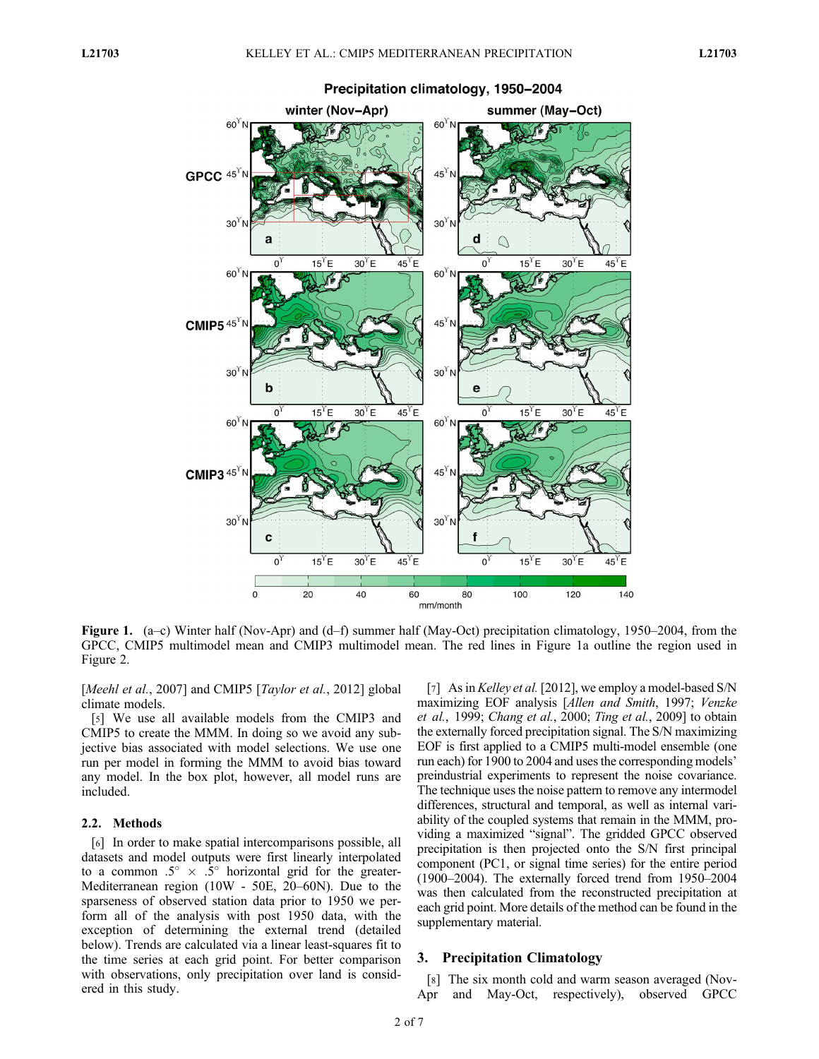

Precipitation climatology, 1950-2004

Figure 1. (a–c) Winter half (Nov-Apr) and (d–f) summer half (May-Oct) precipitation climatology, 1950–2004, from the GPCC, CMIP5 multimodel mean and CMIP3 multimodel mean. The red lines in Figure 1a outline the region used in Figure 2.

[Meehl et al., 2007] and CMIP5 [Taylor et al., 2012] global climate models.

[5] We use all available models from the CMIP3 and CMIP5 to create the MMM. In doing so we avoid any subjective bias associated with model selections. We use one run per model in forming the MMM to avoid bias toward any model. In the box plot, however, all model runs are included.

#### 2.2. Methods

[6] In order to make spatial intercomparisons possible, all datasets and model outputs were first linearly interpolated to a common  $.5^{\circ} \times .5^{\circ}$  horizontal grid for the greater-Mediterranean region (10W - 50E, 20–60N). Due to the sparseness of observed station data prior to 1950 we perform all of the analysis with post 1950 data, with the exception of determining the external trend (detailed below). Trends are calculated via a linear least-squares fit to the time series at each grid point. For better comparison with observations, only precipitation over land is considered in this study.

[7] As in *Kelley et al.* [2012], we employ a model-based S/N maximizing EOF analysis [Allen and Smith, 1997; Venzke et al., 1999; Chang et al., 2000; Ting et al., 2009] to obtain the externally forced precipitation signal. The S/N maximizing EOF is first applied to a CMIP5 multi-model ensemble (one run each) for 1900 to 2004 and uses the corresponding models' preindustrial experiments to represent the noise covariance. The technique uses the noise pattern to remove any intermodel differences, structural and temporal, as well as internal variability of the coupled systems that remain in the MMM, providing a maximized "signal". The gridded GPCC observed precipitation is then projected onto the S/N first principal component (PC1, or signal time series) for the entire period (1900–2004). The externally forced trend from 1950–2004 was then calculated from the reconstructed precipitation at each grid point. More details of the method can be found in the supplementary material.

#### 3. Precipitation Climatology

[8] The six month cold and warm season averaged (Nov-Apr and May-Oct, respectively), observed GPCC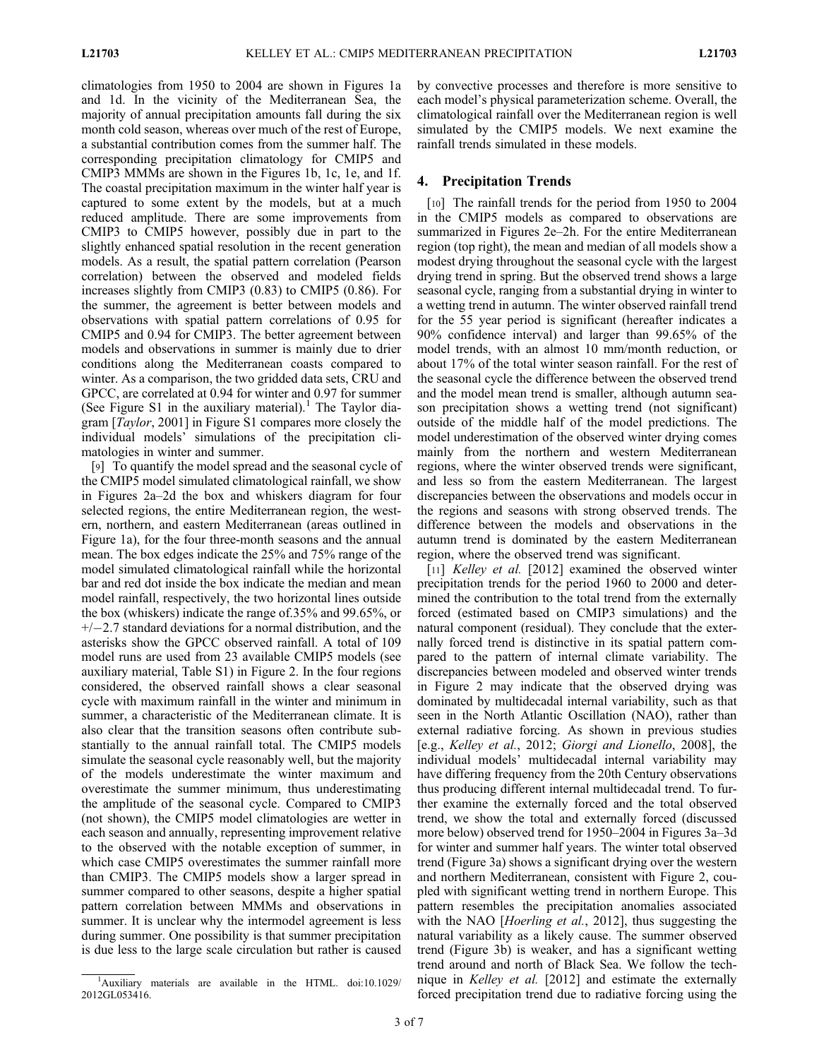climatologies from 1950 to 2004 are shown in Figures 1a and 1d. In the vicinity of the Mediterranean Sea, the majority of annual precipitation amounts fall during the six month cold season, whereas over much of the rest of Europe, a substantial contribution comes from the summer half. The corresponding precipitation climatology for CMIP5 and CMIP3 MMMs are shown in the Figures 1b, 1c, 1e, and 1f. The coastal precipitation maximum in the winter half year is captured to some extent by the models, but at a much reduced amplitude. There are some improvements from CMIP3 to CMIP5 however, possibly due in part to the slightly enhanced spatial resolution in the recent generation models. As a result, the spatial pattern correlation (Pearson correlation) between the observed and modeled fields increases slightly from CMIP3 (0.83) to CMIP5 (0.86). For the summer, the agreement is better between models and observations with spatial pattern correlations of 0.95 for CMIP5 and 0.94 for CMIP3. The better agreement between models and observations in summer is mainly due to drier conditions along the Mediterranean coasts compared to winter. As a comparison, the two gridded data sets, CRU and GPCC, are correlated at 0.94 for winter and 0.97 for summer (See Figure S1 in the auxiliary material).<sup>1</sup> The Taylor diagram [Taylor, 2001] in Figure S1 compares more closely the individual models' simulations of the precipitation climatologies in winter and summer.

[9] To quantify the model spread and the seasonal cycle of the CMIP5 model simulated climatological rainfall, we show in Figures 2a–2d the box and whiskers diagram for four selected regions, the entire Mediterranean region, the western, northern, and eastern Mediterranean (areas outlined in Figure 1a), for the four three-month seasons and the annual mean. The box edges indicate the 25% and 75% range of the model simulated climatological rainfall while the horizontal bar and red dot inside the box indicate the median and mean model rainfall, respectively, the two horizontal lines outside the box (whiskers) indicate the range of.35% and 99.65%, or  $+/-2.7$  standard deviations for a normal distribution, and the asterisks show the GPCC observed rainfall. A total of 109 model runs are used from 23 available CMIP5 models (see auxiliary material, Table S1) in Figure 2. In the four regions considered, the observed rainfall shows a clear seasonal cycle with maximum rainfall in the winter and minimum in summer, a characteristic of the Mediterranean climate. It is also clear that the transition seasons often contribute substantially to the annual rainfall total. The CMIP5 models simulate the seasonal cycle reasonably well, but the majority of the models underestimate the winter maximum and overestimate the summer minimum, thus underestimating the amplitude of the seasonal cycle. Compared to CMIP3 (not shown), the CMIP5 model climatologies are wetter in each season and annually, representing improvement relative to the observed with the notable exception of summer, in which case CMIP5 overestimates the summer rainfall more than CMIP3. The CMIP5 models show a larger spread in summer compared to other seasons, despite a higher spatial pattern correlation between MMMs and observations in summer. It is unclear why the intermodel agreement is less during summer. One possibility is that summer precipitation is due less to the large scale circulation but rather is caused

by convective processes and therefore is more sensitive to each model's physical parameterization scheme. Overall, the climatological rainfall over the Mediterranean region is well simulated by the CMIP5 models. We next examine the rainfall trends simulated in these models.

#### 4. Precipitation Trends

[10] The rainfall trends for the period from 1950 to 2004 in the CMIP5 models as compared to observations are summarized in Figures 2e–2h. For the entire Mediterranean region (top right), the mean and median of all models show a modest drying throughout the seasonal cycle with the largest drying trend in spring. But the observed trend shows a large seasonal cycle, ranging from a substantial drying in winter to a wetting trend in autumn. The winter observed rainfall trend for the 55 year period is significant (hereafter indicates a 90% confidence interval) and larger than 99.65% of the model trends, with an almost 10 mm/month reduction, or about 17% of the total winter season rainfall. For the rest of the seasonal cycle the difference between the observed trend and the model mean trend is smaller, although autumn season precipitation shows a wetting trend (not significant) outside of the middle half of the model predictions. The model underestimation of the observed winter drying comes mainly from the northern and western Mediterranean regions, where the winter observed trends were significant, and less so from the eastern Mediterranean. The largest discrepancies between the observations and models occur in the regions and seasons with strong observed trends. The difference between the models and observations in the autumn trend is dominated by the eastern Mediterranean region, where the observed trend was significant.

[11] *Kelley et al.* [2012] examined the observed winter precipitation trends for the period 1960 to 2000 and determined the contribution to the total trend from the externally forced (estimated based on CMIP3 simulations) and the natural component (residual). They conclude that the externally forced trend is distinctive in its spatial pattern compared to the pattern of internal climate variability. The discrepancies between modeled and observed winter trends in Figure 2 may indicate that the observed drying was dominated by multidecadal internal variability, such as that seen in the North Atlantic Oscillation (NAO), rather than external radiative forcing. As shown in previous studies [e.g., Kelley et al., 2012; Giorgi and Lionello, 2008], the individual models' multidecadal internal variability may have differing frequency from the 20th Century observations thus producing different internal multidecadal trend. To further examine the externally forced and the total observed trend, we show the total and externally forced (discussed more below) observed trend for 1950–2004 in Figures 3a–3d for winter and summer half years. The winter total observed trend (Figure 3a) shows a significant drying over the western and northern Mediterranean, consistent with Figure 2, coupled with significant wetting trend in northern Europe. This pattern resembles the precipitation anomalies associated with the NAO [*Hoerling et al.*, 2012], thus suggesting the natural variability as a likely cause. The summer observed trend (Figure 3b) is weaker, and has a significant wetting trend around and north of Black Sea. We follow the technique in Kelley et al. [2012] and estimate the externally forced precipitation trend due to radiative forcing using the

<sup>&</sup>lt;sup>1</sup>Auxiliary materials are available in the HTML. doi:10.1029/ 2012GL053416.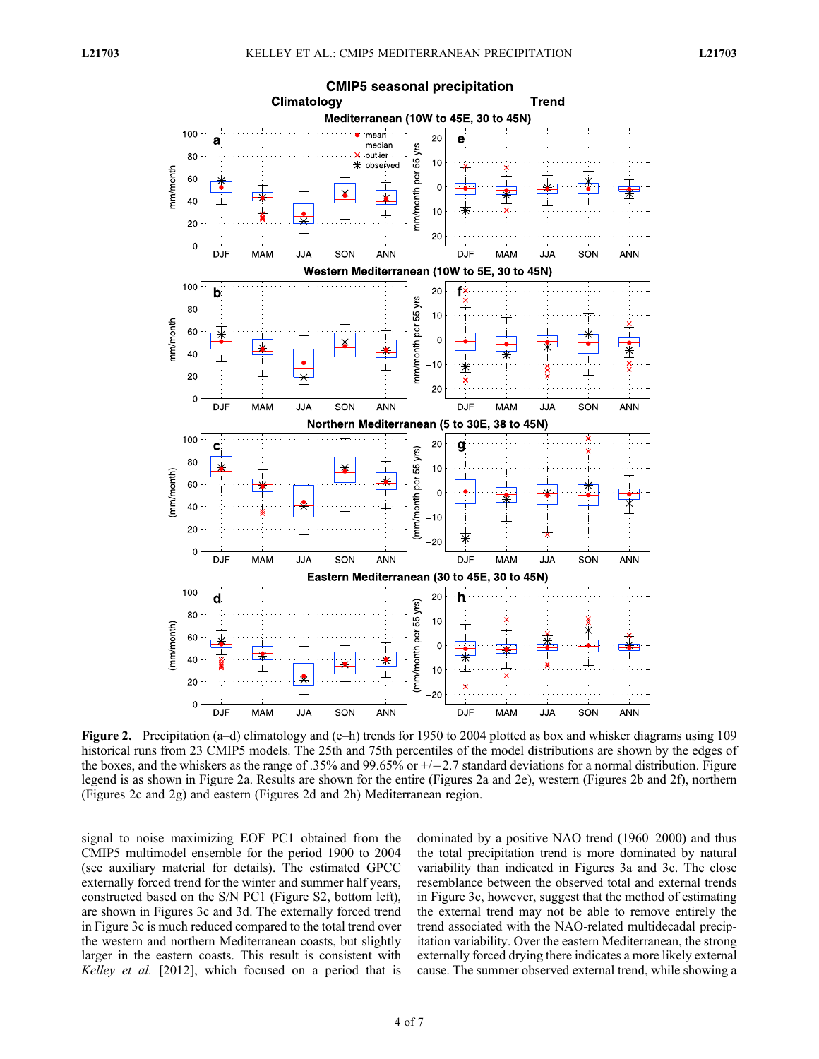

Figure 2. Precipitation (a–d) climatology and (e–h) trends for 1950 to 2004 plotted as box and whisker diagrams using 109 historical runs from 23 CMIP5 models. The 25th and 75th percentiles of the model distributions are shown by the edges of the boxes, and the whiskers as the range of .35% and 99.65% or  $+/-2.7$  standard deviations for a normal distribution. Figure legend is as shown in Figure 2a. Results are shown for the entire (Figures 2a and 2e), western (Figures 2b and 2f), northern (Figures 2c and 2g) and eastern (Figures 2d and 2h) Mediterranean region.

signal to noise maximizing EOF PC1 obtained from the CMIP5 multimodel ensemble for the period 1900 to 2004 (see auxiliary material for details). The estimated GPCC externally forced trend for the winter and summer half years, constructed based on the S/N PC1 (Figure S2, bottom left), are shown in Figures 3c and 3d. The externally forced trend in Figure 3c is much reduced compared to the total trend over the western and northern Mediterranean coasts, but slightly larger in the eastern coasts. This result is consistent with Kelley et al. [2012], which focused on a period that is

dominated by a positive NAO trend (1960–2000) and thus the total precipitation trend is more dominated by natural variability than indicated in Figures 3a and 3c. The close resemblance between the observed total and external trends in Figure 3c, however, suggest that the method of estimating the external trend may not be able to remove entirely the trend associated with the NAO-related multidecadal precipitation variability. Over the eastern Mediterranean, the strong externally forced drying there indicates a more likely external cause. The summer observed external trend, while showing a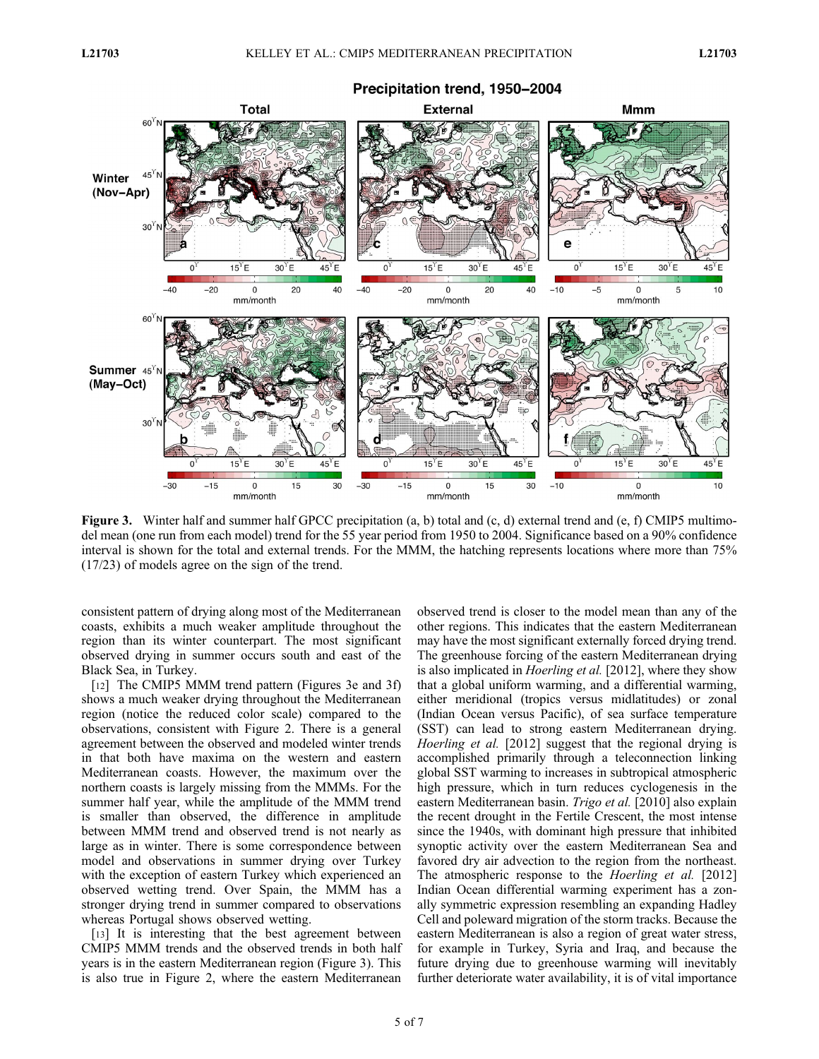

Figure 3. Winter half and summer half GPCC precipitation (a, b) total and (c, d) external trend and (e, f) CMIP5 multimodel mean (one run from each model) trend for the 55 year period from 1950 to 2004. Significance based on a 90% confidence interval is shown for the total and external trends. For the MMM, the hatching represents locations where more than 75% (17/23) of models agree on the sign of the trend.

consistent pattern of drying along most of the Mediterranean coasts, exhibits a much weaker amplitude throughout the region than its winter counterpart. The most significant observed drying in summer occurs south and east of the Black Sea, in Turkey.

[12] The CMIP5 MMM trend pattern (Figures 3e and 3f) shows a much weaker drying throughout the Mediterranean region (notice the reduced color scale) compared to the observations, consistent with Figure 2. There is a general agreement between the observed and modeled winter trends in that both have maxima on the western and eastern Mediterranean coasts. However, the maximum over the northern coasts is largely missing from the MMMs. For the summer half year, while the amplitude of the MMM trend is smaller than observed, the difference in amplitude between MMM trend and observed trend is not nearly as large as in winter. There is some correspondence between model and observations in summer drying over Turkey with the exception of eastern Turkey which experienced an observed wetting trend. Over Spain, the MMM has a stronger drying trend in summer compared to observations whereas Portugal shows observed wetting.

[13] It is interesting that the best agreement between CMIP5 MMM trends and the observed trends in both half years is in the eastern Mediterranean region (Figure 3). This is also true in Figure 2, where the eastern Mediterranean

observed trend is closer to the model mean than any of the other regions. This indicates that the eastern Mediterranean may have the most significant externally forced drying trend. The greenhouse forcing of the eastern Mediterranean drying is also implicated in *Hoerling et al.* [2012], where they show that a global uniform warming, and a differential warming, either meridional (tropics versus midlatitudes) or zonal (Indian Ocean versus Pacific), of sea surface temperature (SST) can lead to strong eastern Mediterranean drying. Hoerling et al. [2012] suggest that the regional drying is accomplished primarily through a teleconnection linking global SST warming to increases in subtropical atmospheric high pressure, which in turn reduces cyclogenesis in the eastern Mediterranean basin. Trigo et al. [2010] also explain the recent drought in the Fertile Crescent, the most intense since the 1940s, with dominant high pressure that inhibited synoptic activity over the eastern Mediterranean Sea and favored dry air advection to the region from the northeast. The atmospheric response to the *Hoerling et al.* [2012] Indian Ocean differential warming experiment has a zonally symmetric expression resembling an expanding Hadley Cell and poleward migration of the storm tracks. Because the eastern Mediterranean is also a region of great water stress, for example in Turkey, Syria and Iraq, and because the future drying due to greenhouse warming will inevitably further deteriorate water availability, it is of vital importance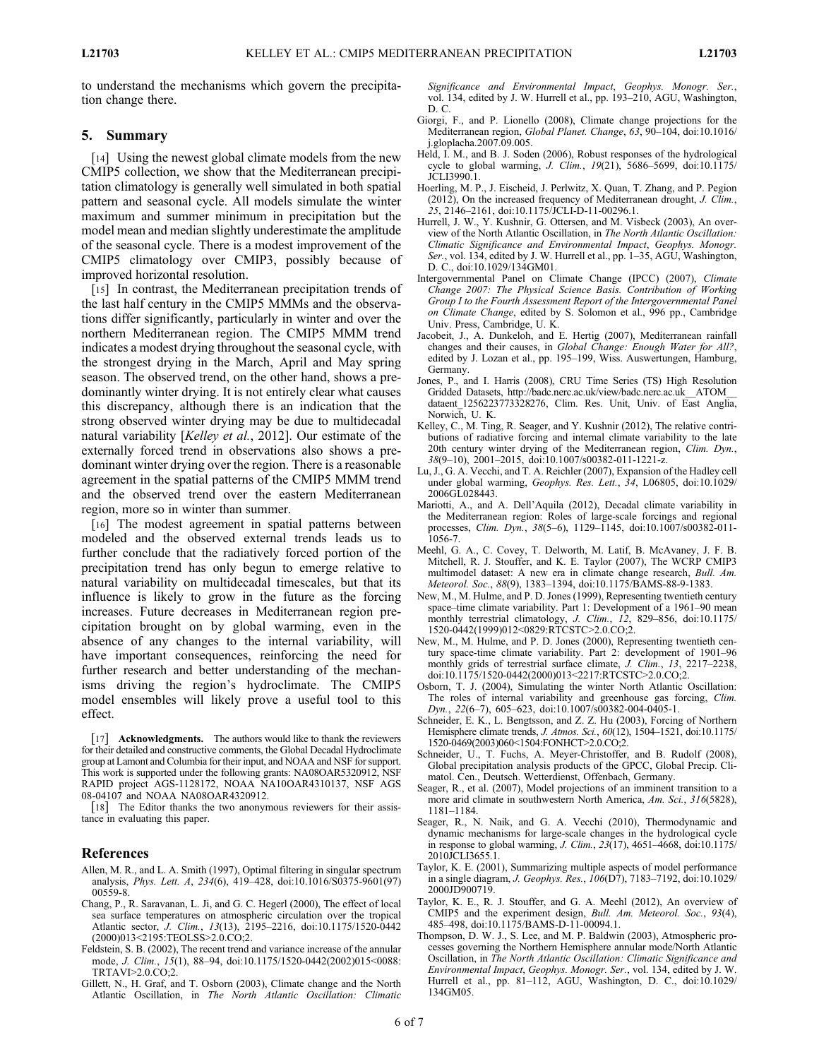to understand the mechanisms which govern the precipitation change there.

#### 5. Summary

[14] Using the newest global climate models from the new CMIP5 collection, we show that the Mediterranean precipitation climatology is generally well simulated in both spatial pattern and seasonal cycle. All models simulate the winter maximum and summer minimum in precipitation but the model mean and median slightly underestimate the amplitude of the seasonal cycle. There is a modest improvement of the CMIP5 climatology over CMIP3, possibly because of improved horizontal resolution.

[15] In contrast, the Mediterranean precipitation trends of the last half century in the CMIP5 MMMs and the observations differ significantly, particularly in winter and over the northern Mediterranean region. The CMIP5 MMM trend indicates a modest drying throughout the seasonal cycle, with the strongest drying in the March, April and May spring season. The observed trend, on the other hand, shows a predominantly winter drying. It is not entirely clear what causes this discrepancy, although there is an indication that the strong observed winter drying may be due to multidecadal natural variability [Kelley et al., 2012]. Our estimate of the externally forced trend in observations also shows a predominant winter drying over the region. There is a reasonable agreement in the spatial patterns of the CMIP5 MMM trend and the observed trend over the eastern Mediterranean region, more so in winter than summer.

[16] The modest agreement in spatial patterns between modeled and the observed external trends leads us to further conclude that the radiatively forced portion of the precipitation trend has only begun to emerge relative to natural variability on multidecadal timescales, but that its influence is likely to grow in the future as the forcing increases. Future decreases in Mediterranean region precipitation brought on by global warming, even in the absence of any changes to the internal variability, will have important consequences, reinforcing the need for further research and better understanding of the mechanisms driving the region's hydroclimate. The CMIP5 model ensembles will likely prove a useful tool to this effect.

[17] **Acknowledgments.** The authors would like to thank the reviewers for their detailed and constructive comments, the Global Decadal Hydroclimate group at Lamont and Columbia for their input, and NOAA and NSF for support. This work is supported under the following grants: NA08OAR5320912, NSF RAPID project AGS-1128172, NOAA NA10OAR4310137, NSF AGS 08-04107 and NOAA NA08OAR4320912.

[18] The Editor thanks the two anonymous reviewers for their assistance in evaluating this paper.

# References

- Allen, M. R., and L. A. Smith (1997), Optimal filtering in singular spectrum analysis, Phys. Lett. A, 234(6), 419–428, doi:10.1016/S0375-9601(97) 00559-8.
- Chang, P., R. Saravanan, L. Ji, and G. C. Hegerl (2000), The effect of local sea surface temperatures on atmospheric circulation over the tropical Atlantic sector, J. Clim., 13(13), 2195–2216, doi:10.1175/1520-0442 (2000)013<2195:TEOLSS>2.0.CO;2.
- Feldstein, S. B. (2002), The recent trend and variance increase of the annular mode, J. Clim., 15(1), 88–94, doi:10.1175/1520-0442(2002)015<0088: TRTAVI>2.0.CO;2.
- Gillett, N., H. Graf, and T. Osborn (2003), Climate change and the North Atlantic Oscillation, in The North Atlantic Oscillation: Climatic

Significance and Environmental Impact, Geophys. Monogr. Ser., vol. 134, edited by J. W. Hurrell et al., pp. 193–210, AGU, Washington, D. C.

- Giorgi, F., and P. Lionello (2008), Climate change projections for the Mediterranean region, Global Planet. Change, 63, 90–104, doi:10.1016/ j.gloplacha.2007.09.005.
- Held, I. M., and B. J. Soden (2006), Robust responses of the hydrological cycle to global warming, J. Clim., 19(21), 5686–5699, doi:10.1175/ JCLI3990.1.
- Hoerling, M. P., J. Eischeid, J. Perlwitz, X. Quan, T. Zhang, and P. Pegion (2012), On the increased frequency of Mediterranean drought, J. Clim., 25, 2146–2161, doi:10.1175/JCLI-D-11-00296.1.
- Hurrell, J. W., Y. Kushnir, G. Ottersen, and M. Visbeck (2003), An overview of the North Atlantic Oscillation, in The North Atlantic Oscillation: Climatic Significance and Environmental Impact, Geophys. Monogr. Ser., vol. 134, edited by J. W. Hurrell et al., pp. 1–35, AGU, Washington, D. C., doi:10.1029/134GM01.
- Intergovernmental Panel on Climate Change (IPCC) (2007), Climate Change 2007: The Physical Science Basis. Contribution of Working Group I to the Fourth Assessment Report of the Intergovernmental Panel on Climate Change, edited by S. Solomon et al., 996 pp., Cambridge Univ. Press, Cambridge, U. K.
- Jacobeit, J., A. Dunkeloh, and E. Hertig (2007), Mediterranean rainfall changes and their causes, in Global Change: Enough Water for All?, edited by J. Lozan et al., pp. 195–199, Wiss. Auswertungen, Hamburg, Germany.
- Jones, P., and I. Harris (2008), CRU Time Series (TS) High Resolution Gridded Datasets, http://badc.nerc.ac.uk/view/badc.nerc.ac.uk\_\_ATOM\_\_ dataent\_1256223773328276, Clim. Res. Unit, Univ. of East Anglia, Norwich, U. K.
- Kelley, C., M. Ting, R. Seager, and Y. Kushnir (2012), The relative contributions of radiative forcing and internal climate variability to the late 20th century winter drying of the Mediterranean region, Clim. Dyn., 38(9–10), 2001–2015, doi:10.1007/s00382-011-1221-z.
- Lu, J., G. A. Vecchi, and T. A. Reichler (2007), Expansion of the Hadley cell under global warming, Geophys. Res. Lett., 34, L06805, doi:10.1029/ 2006GL028443.
- Mariotti, A., and A. Dell'Aquila (2012), Decadal climate variability in the Mediterranean region: Roles of large-scale forcings and regional processes, Clim. Dyn., 38(5–6), 1129–1145, doi:10.1007/s00382-011- 1056-7.
- Meehl, G. A., C. Covey, T. Delworth, M. Latif, B. McAvaney, J. F. B. Mitchell, R. J. Stouffer, and K. E. Taylor (2007), The WCRP CMIP3 multimodel dataset: A new era in climate change research, Bull. Am. Meteorol. Soc., 88(9), 1383–1394, doi:10.1175/BAMS-88-9-1383.
- New, M., M. Hulme, and P. D. Jones (1999), Representing twentieth century space–time climate variability. Part 1: Development of a 1961–90 mean monthly terrestrial climatology, J. Clim., 12, 829-856, doi:10.1175/ 1520-0442(1999)012<0829:RTCSTC>2.0.CO;2.
- New, M., M. Hulme, and P. D. Jones (2000), Representing twentieth century space-time climate variability. Part 2: development of 1901–96 monthly grids of terrestrial surface climate, J. Clim., 13, 2217-2238, doi:10.1175/1520-0442(2000)013<2217:RTCSTC>2.0.CO;2.
- Osborn, T. J. (2004), Simulating the winter North Atlantic Oscillation: The roles of internal variability and greenhouse gas forcing, Clim. Dyn., 22(6-7), 605-623, doi:10.1007/s00382-004-0405-1.
- Schneider, E. K., L. Bengtsson, and Z. Z. Hu (2003), Forcing of Northern Hemisphere climate trends, J. Atmos. Sci., 60(12), 1504–1521, doi:10.1175/ 1520-0469(2003)060<1504:FONHCT>2.0.CO;2.
- Schneider, U., T. Fuchs, A. Meyer-Christoffer, and B. Rudolf (2008), Global precipitation analysis products of the GPCC, Global Precip. Climatol. Cen., Deutsch. Wetterdienst, Offenbach, Germany.
- Seager, R., et al. (2007), Model projections of an imminent transition to a more arid climate in southwestern North America, Am. Sci., 316(5828), 1181–1184.
- Seager, R., N. Naik, and G. A. Vecchi (2010), Thermodynamic and dynamic mechanisms for large-scale changes in the hydrological cycle in response to global warming, *J. Clim.*,  $23(17)$ ,  $4651-4668$ , doi:10.1175/ 2010JCLI3655.1.
- Taylor, K. E. (2001), Summarizing multiple aspects of model performance in a single diagram, J. Geophys. Res., 106(D7), 7183–7192, doi:10.1029/ 2000JD900719.
- Taylor, K. E., R. J. Stouffer, and G. A. Meehl (2012), An overview of CMIP5 and the experiment design, Bull. Am. Meteorol. Soc., 93(4), 485–498, doi:10.1175/BAMS-D-11-00094.1.
- Thompson, D. W. J., S. Lee, and M. P. Baldwin (2003), Atmospheric processes governing the Northern Hemisphere annular mode/North Atlantic Oscillation, in The North Atlantic Oscillation: Climatic Significance and Environmental Impact, Geophys. Monogr. Ser., vol. 134, edited by J. W. Hurrell et al., pp. 81–112, AGU, Washington, D. C., doi:10.1029/ 134GM05.